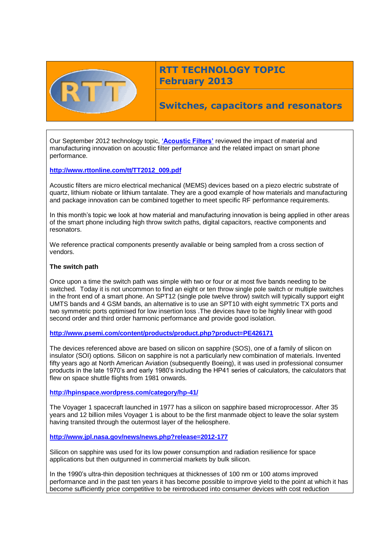

# **RTT TECHNOLOGY TOPIC February 2013**

**Switches, capacitors and resonators**

Our September 2012 technology topic, **['Acoustic Filters'](http://www.rttonline.com/tt/TT2012_009.pdf)** reviewed the impact of material and manufacturing innovation on acoustic filter performance and the related impact on smart phone performance.

# **[http://www.rttonline.com/tt/TT2012\\_009.pdf](http://www.rttonline.com/tt/TT2012_009.pdf)**

Acoustic filters are micro electrical mechanical (MEMS) devices based on a piezo electric substrate of quartz, lithium niobate or lithium tantalate. They are a good example of how materials and manufacturing and package innovation can be combined together to meet specific RF performance requirements.

In this month's topic we look at how material and manufacturing innovation is being applied in other areas of the smart phone including high throw switch paths, digital capacitors, reactive components and resonators.

We reference practical components presently available or being sampled from a cross section of vendors.

#### **The switch path**

Once upon a time the switch path was simple with two or four or at most five bands needing to be switched. Today it is not uncommon to find an eight or ten throw single pole switch or multiple switches in the front end of a smart phone. An SPT12 (single pole twelve throw) switch will typically support eight UMTS bands and 4 GSM bands, an alternative is to use an SPT10 with eight symmetric TX ports and two symmetric ports optimised for low insertion loss .The devices have to be highly linear with good second order and third order harmonic performance and provide good isolation.

#### **<http://www.psemi.com/content/products/product.php?product=PE426171>**

The devices referenced above are based on silicon on sapphire (SOS), one of a family of silicon on insulator (SOI) options. Silicon on sapphire is not a particularly new combination of materials. Invented fifty years ago at North American Aviation (subsequently Boeing), it was used in professional consumer products in the late 1970's and early 1980's including the HP41 series of calculators, the calculators that flew on space shuttle flights from 1981 onwards.

#### **<http://hpinspace.wordpress.com/category/hp-41/>**

The Voyager 1 spacecraft launched in 1977 has a silicon on sapphire based microprocessor. After 35 years and 12 billion miles Voyager 1 is about to be the first manmade object to leave the solar system having transited through the outermost layer of the heliosphere.

**<http://www.jpl.nasa.gov/news/news.php?release=2012-177>**

Silicon on sapphire was used for its low power consumption and radiation resilience for space applications but then outgunned in commercial markets by bulk silicon.

In the 1990's ultra-thin deposition techniques at thicknesses of 100 nm or 100 atoms improved performance and in the past ten years it has become possible to improve yield to the point at which it has become sufficiently price competitive to be reintroduced into consumer devices with cost reduction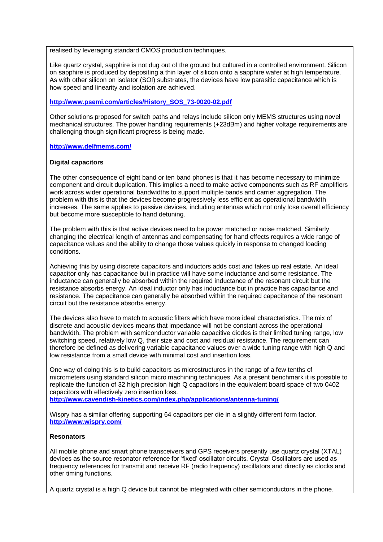realised by leveraging standard CMOS production techniques.

Like quartz crystal, sapphire is not dug out of the ground but cultured in a controlled environment. Silicon on sapphire is produced by depositing a thin layer of silicon onto a sapphire wafer at high temperature. As with other silicon on isolator (SOI) substrates, the devices have low parasitic capacitance which is how speed and linearity and isolation are achieved.

#### **[http://www.psemi.com/articles/History\\_SOS\\_73-0020-02.pdf](http://www.psemi.com/articles/History_SOS_73-0020-02.pdf)**

Other solutions proposed for switch paths and relays include silicon only MEMS structures using novel mechanical structures. The power handling requirements (+23dBm) and higher voltage requirements are challenging though significant progress is being made.

**<http://www.delfmems.com/>**

#### **Digital capacitors**

The other consequence of eight band or ten band phones is that it has become necessary to minimize component and circuit duplication. This implies a need to make active components such as RF amplifiers work across wider operational bandwidths to support multiple bands and carrier aggregation. The problem with this is that the devices become progressively less efficient as operational bandwidth increases. The same applies to passive devices, including antennas which not only lose overall efficiency but become more susceptible to hand detuning.

The problem with this is that active devices need to be power matched or noise matched. Similarly changing the electrical length of antennas and compensating for hand effects requires a wide range of capacitance values and the ability to change those values quickly in response to changed loading conditions.

Achieving this by using discrete capacitors and inductors adds cost and takes up real estate. An ideal capacitor only has capacitance but in practice will have some inductance and some resistance. The inductance can generally be absorbed within the required inductance of the resonant circuit but the resistance absorbs energy. An ideal inductor only has inductance but in practice has capacitance and resistance. The capacitance can generally be absorbed within the required capacitance of the resonant circuit but the resistance absorbs energy.

The devices also have to match to acoustic filters which have more ideal characteristics. The mix of discrete and acoustic devices means that impedance will not be constant across the operational bandwidth. The problem with semiconductor variable capacitive diodes is their limited tuning range, low switching speed, relatively low Q, their size and cost and residual resistance. The requirement can therefore be defined as delivering variable capacitance values over a wide tuning range with high Q and low resistance from a small device with minimal cost and insertion loss.

One way of doing this is to build capacitors as microstructures in the range of a few tenths of micrometers using standard silicon micro machining techniques. As a present benchmark it is possible to replicate the function of 32 high precision high Q capacitors in the equivalent board space of two 0402 capacitors with effectively zero insertion loss.

**<http://www.cavendish-kinetics.com/index.php/applications/antenna-tuning/>**

Wispry has a similar offering supporting 64 capacitors per die in a slightly different form factor. **<http://www.wispry.com/>**

# **Resonators**

All mobile phone and smart phone transceivers and GPS receivers presently use quartz crystal (XTAL) devices as the source resonator reference for 'fixed' oscillator circuits. Crystal Oscillators are used as frequency references for transmit and receive RF (radio frequency) oscillators and directly as clocks and other timing functions.

A quartz crystal is a high Q device but cannot be integrated with other semiconductors in the phone.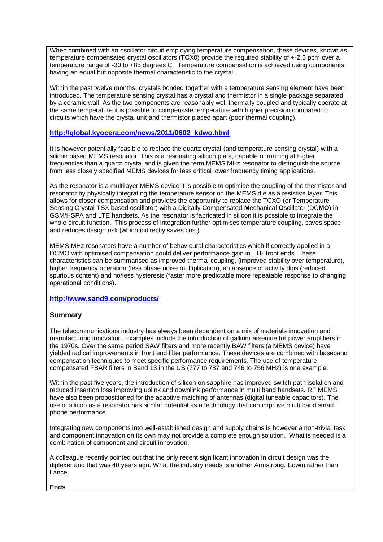When combined with an oscillator circuit employing temperature compensation, these devices, known as **t**emperature **c**ompensated **c**rystal **o**scillators (**TC**X0) provide the required stability of +-2.5 ppm over a temperature range of -30 to +85 degrees C. Temperature compensation is achieved using components having an equal but opposite thermal characteristic to the crystal.

Within the past twelve months, crystals bonded together with a temperature sensing element have been introduced. The temperature sensing crystal has a crystal and thermistor in a single package separated by a ceramic wall. As the two components are reasonably well thermally coupled and typically operate at the same temperature it is possible to compensate temperature with higher precision compared to circuits which have the crystal unit and thermistor placed apart (poor thermal coupling).

# **[http://global.kyocera.com/news/2011/0602\\_kdwo.html](http://global.kyocera.com/news/2011/0602_kdwo.html)**

It is however potentially feasible to replace the quartz crystal (and temperature sensing crystal) with a silicon based MEMS resonator. This is a resonating silicon plate, capable of running at higher frequencies than a quartz crystal and is given the term MEMS MHz resonator to distinguish the source from less closely specified MEMS devices for less critical lower frequency timing applications.

As the resonator is a multilayer MEMS device it is possible to optimise the coupling of the thermistor and resonator by physically integrating the temperature sensor on the MEMS die as a resistive layer. This allows for closer compensation and provides the opportunity to replace the TCXO (or Temperature Sensing Crystal TSX based oscillator) with a Digitally Compensated **M**echanical **O**scillator (DC**MO**) in GSM/HSPA and LTE handsets. As the resonator is fabricated in silicon it is possible to integrate the whole circuit function. This process of integration further optimises temperature coupling, saves space and reduces design risk (which indirectly saves cost).

MEMS MHz resonators have a number of behavioural characteristics which if correctly applied in a DCMO with optimised compensation could deliver performance gain in LTE front ends. These characteristics can be summarised as improved thermal coupling, (improved stability over temperature), higher frequency operation (less phase noise multiplication), an absence of activity dips (reduced spurious content) and no/less hysteresis (faster more predictable more repeatable response to changing operational conditions).

# **<http://www.sand9.com/products/>**

# **Summary**

The telecommunications industry has always been dependent on a mix of materials innovation and manufacturing innovation. Examples include the introduction of gallium arsenide for power amplifiers in the 1970s. Over the same period SAW filters and more recently BAW filters (a MEMS device) have yielded radical improvements in front end filter performance. These devices are combined with baseband compensation techniques to meet specific performance requirements. The use of temperature compensated FBAR filters in Band 13 in the US (777 to 787 and 746 to 756 MHz) is one example.

Within the past five years, the introduction of silicon on sapphire has improved switch path isolation and reduced insertion loss improving uplink and downlink performance in multi band handsets. RF MEMS have also been propositioned for the adaptive matching of antennas (digital tuneable capacitors). The use of silicon as a resonator has similar potential as a technology that can improve multi band smart phone performance.

Integrating new components into well-established design and supply chains is however a non-trivial task and component innovation on its own may not provide a complete enough solution. What is needed is a combination of component and circuit innovation.

A colleague recently pointed out that the only recent significant innovation in circuit design was the diplexer and that was 40 years ago. What the industry needs is another Armstrong. Edwin rather than Lance.

#### **Ends**